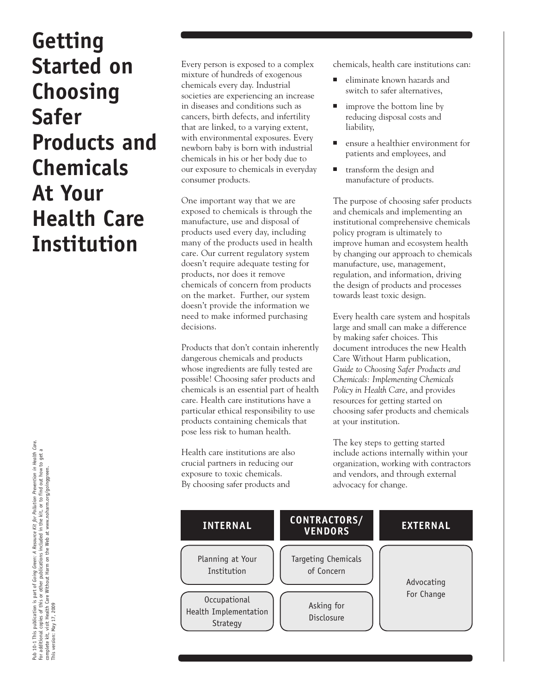# **Getting Started on Choosing Safer Products and Chemicals At Your Health Care Institution**

Every person is exposed to a complex mixture of hundreds of exogenous chemicals every day. Industrial societies are experiencing an increase in diseases and conditions such as cancers, birth defects, and infertility that are linked, to a varying extent, with environmental exposures. Every newborn baby is born with industrial chemicals in his or her body due to our exposure to chemicals in everyday consumer products.

One important way that we are exposed to chemicals is through the manufacture, use and disposal of products used every day, including many of the products used in health care. Our current regulatory system doesn't require adequate testing for products, nor does it remove chemicals of concern from products on the market. Further, our system doesn't provide the information we need to make informed purchasing decisions.

Products that don't contain inherently dangerous chemicals and products whose ingredients are fully tested are possible! Choosing safer products and chemicals is an essential part of health care. Health care institutions have a particular ethical responsibility to use products containing chemicals that pose less risk to human health.

Health care institutions are also crucial partners in reducing our exposure to toxic chemicals. By choosing safer products and

chemicals, health care institutions can:

- eliminate known hazards and switch to safer alternatives,
- improve the bottom line by reducing disposal costs and liability,
- ensure a healthier environment for patients and employees, and
- transform the design and manufacture of products.

The purpose of choosing safer products and chemicals and implementing an institutional comprehensive chemicals policy program is ultimately to improve human and ecosystem health by changing our approach to chemicals manufacture, use, management, regulation, and information, driving the design of products and processes towards least toxic design.

Every health care system and hospitals large and small can make a difference by making safer choices. This document introduces the new Health Care Without Harm publication, *Guide to Choosing Safer Products and Chemicals: Implementing Chemicals Policy in Health Care*, and provides resources for getting started on choosing safer products and chemicals at your institution.

The key steps to getting started include actions internally within your organization, working with contractors and vendors, and through external advocacy for change.



Pub 10-1 This publication is part of *Going Green: A Resource Kit for Pollution Prevention in Health Care.*<br>For additional copies of this or other publications included in the kit, or to find out how to get a<br>complete kit, Pub 10-1 This publication is part of Going Green: A Resource Kit for Pollution Prevention in Health Care.<br>For additional copies of this or other publications included in the kit, or to find out how to get a<br>This version: M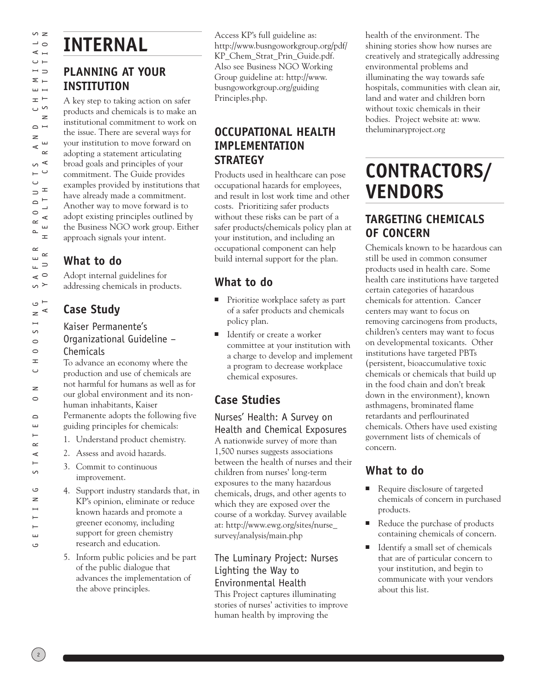t Y o u r H e a l th C a r e I n stit u tio n

## **INTERNAL PLANNING AT YOUR**

# **INSTITUTION**

A key step to taking action on safer products and chemicals is to make an institutional commitment to work on the issue. There are several ways for your institution to move forward on adopting a statement articulating broad goals and principles of your commitment. The Guide provides examples provided by institutions that have already made a commitment. Another way to move forward is to adopt existing principles outlined by the Business NGO work group. Either approach signals your intent.

#### **What to do**

Adopt internal guidelines for addressing chemicals in products.

## **Case Study**

Kaiser Permanente's

Organizational Guideline – Chemicals

To advance an economy where the production and use of chemicals are not harmful for humans as well as for our global environment and its nonhuman inhabitants, Kaiser Permanente adopts the following five guiding principles for chemicals:

- 1. Understand product chemistry.
- 2. Assess and avoid hazards.
- 3. Commit to continuous improvement.
- 4. Support industry standards that, in KP's opinion, eliminate or reduce known hazards and promote a greener economy, including support for green chemistry research and education.
- 5. Inform public policies and be part of the public dialogue that advances the implementation of the above principles.

Access KP's full guideline as: http://www.busngoworkgroup.org/pdf/ KP\_Chem\_Strat\_Prin\_Guide.pdf. Also see Business NGO Working Group guideline at: http://www. busngoworkgroup.org/guiding Principles.php.

#### **OCCUPATIONAL HEALTH IMPLEMENTATION STRATEGY**

Products used in healthcare can pose occupational hazards for employees, and result in lost work time and other costs. Prioritizing safer products without these risks can be part of a safer products/chemicals policy plan at your institution, and including an occupational component can help build internal support for the plan.

## **What to do**

- Prioritize workplace safety as part of a safer products and chemicals policy plan.
- Identify or create a worker committee at your institution with a charge to develop and implement a program to decrease workplace chemical exposures.

## **Case Studies**

Nurses' Health: A Survey on Health and Chemical Exposures A nationwide survey of more than 1,500 nurses suggests associations between the health of nurses and their children from nurses' long-term exposures to the many hazardous chemicals, drugs, and other agents to which they are exposed over the course of a workday. Survey available at: http://www.ewg.org/sites/nurse\_ survey/analysis/main.php

#### The Luminary Project: Nurses Lighting the Way to Environmental Health

This Project captures illuminating stories of nurses' activities to improve human health by improving the

health of the environment. The shining stories show how nurses are creatively and strategically addressing environmental problems and illuminating the way towards safe hospitals, communities with clean air, land and water and children born without toxic chemicals in their bodies. Project website at: www. theluminaryproject.org

## **CONTRACTORS/ VENDORS**

#### **TARGETING CHEMICALS OF CONCERN**

Chemicals known to be hazardous can still be used in common consumer products used in health care. Some health care institutions have targeted certain categories of hazardous chemicals for attention. Cancer centers may want to focus on removing carcinogens from products, children's centers may want to focus on developmental toxicants. Other institutions have targeted PBTs (persistent, bioaccumulative toxic chemicals or chemicals that build up in the food chain and don't break down in the environment), known asthmagens, brominated flame retardants and perflourinated chemicals. Others have used existing government lists of chemicals of concern.

## **What to do**

- Require disclosure of targeted chemicals of concern in purchased products.
- Reduce the purchase of products containing chemicals of concern.
- Identify a small set of chemicals that are of particular concern to your institution, and begin to communicate with your vendors about this list.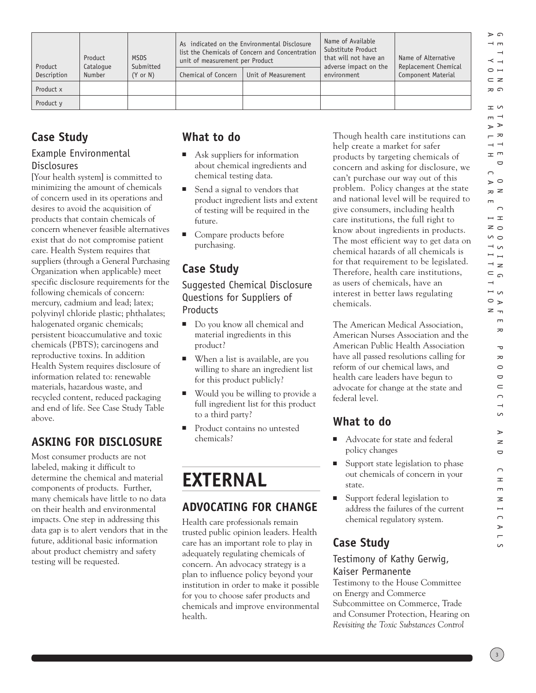| Product<br>Description | Product<br>Catalogue<br>Number | <b>MSDS</b><br>Submitted<br>$(Y \text{ or } N)$ | As indicated on the Environmental Disclosure<br>list the Chemicals of Concern and Concentration<br>unit of measurement per Product<br>Chemical of Concern<br>Unit of Measurement |  | Name of Available<br>Substitute Product<br>that will not have an<br>adverse impact on the<br>environment | Name of Alternative<br>Replacement Chemical<br>Component Material |
|------------------------|--------------------------------|-------------------------------------------------|----------------------------------------------------------------------------------------------------------------------------------------------------------------------------------|--|----------------------------------------------------------------------------------------------------------|-------------------------------------------------------------------|
| Product x              |                                |                                                 |                                                                                                                                                                                  |  |                                                                                                          |                                                                   |
| Product y              |                                |                                                 |                                                                                                                                                                                  |  |                                                                                                          |                                                                   |

#### **Case Study**

#### Example Environmental **Disclosures**

[Your health system] is committed to minimizing the amount of chemicals of concern used in its operations and desires to avoid the acquisition of products that contain chemicals of concern whenever feasible alternatives exist that do not compromise patient care. Health System requires that suppliers (through a General Purchasing Organization when applicable) meet specific disclosure requirements for the following chemicals of concern: mercury, cadmium and lead; latex; polyvinyl chloride plastic; phthalates; halogenated organic chemicals; persistent bioaccumulative and toxic chemicals (PBTS); carcinogens and reproductive toxins. In addition Health System requires disclosure of information related to: renewable materials, hazardous waste, and recycled content, reduced packaging and end of life. See Case Study Table above.

## **ASKING FOR DISCLOSURE**

Most consumer products are not labeled, making it difficult to determine the chemical and material components of products. Further, many chemicals have little to no data on their health and environmental impacts. One step in addressing this data gap is to alert vendors that in the future, additional basic information about product chemistry and safety testing will be requested.

#### **What to do**

- Ask suppliers for information about chemical ingredients and chemical testing data.
- Send a signal to vendors that product ingredient lists and extent of testing will be required in the future.
- Compare products before purchasing.

### **Case Study**

Suggested Chemical Disclosure Questions for Suppliers of Products

- Do you know all chemical and material ingredients in this product?
- When a list is available, are you willing to share an ingredient list for this product publicly?
- Would you be willing to provide a full ingredient list for this product to a third party?
- Product contains no untested chemicals?

## **EXTERNAL**

#### **ADVOCATING FOR CHANGE**

Health care professionals remain trusted public opinion leaders. Health care has an important role to play in adequately regulating chemicals of concern. An advocacy strategy is a plan to influence policy beyond your institution in order to make it possible for you to choose safer products and chemicals and improve environmental health.

Though health care institutions can help create a market for safer products by targeting chemicals of concern and asking for disclosure, we can't purchase our way out of this problem. Policy changes at the state and national level will be required to give consumers, including health care institutions, the full right to know about ingredients in products. The most efficient way to get data on chemical hazards of all chemicals is for that requirement to be legislated. Therefore, health care institutions, as users of chemicals, have an interest in better laws regulating chemicals.

The American Medical Association, American Nurses Association and the American Public Health Association have all passed resolutions calling for reform of our chemical laws, and health care leaders have begun to advocate for change at the state and federal level.

### **What to do**

- Advocate for state and federal policy changes
- Support state legislation to phase out chemicals of concern in your state.
- Support federal legislation to address the failures of the current chemical regulatory system.

### **Case Study**

#### Testimony of Kathy Gerwig, Kaiser Permanente

Testimony to the House Committee on Energy and Commerce Subcommittee on Commerce, Trade and Consumer Protection, Hearing on *Revisiting the Toxic Substances Control* 

ם <